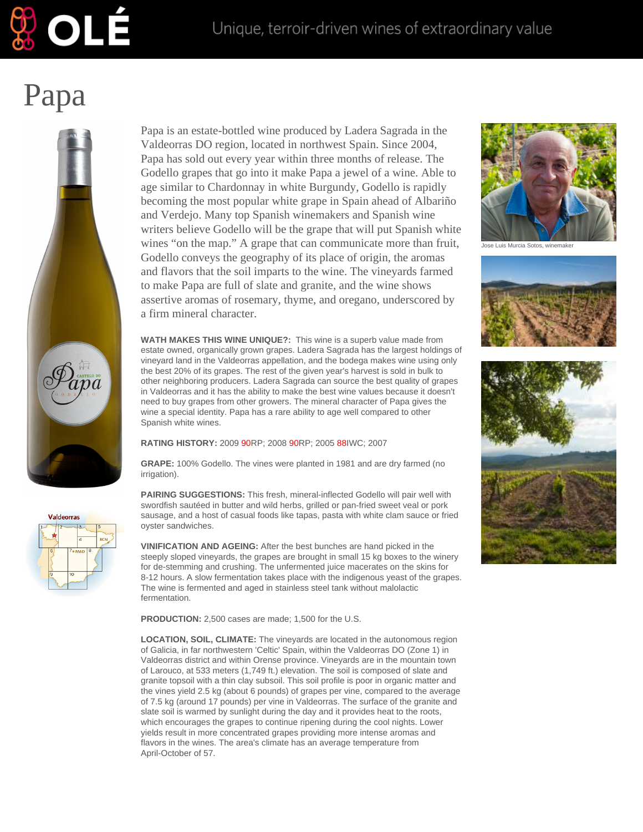

## Papa

OLÉ



**Valdeorras** 

Papa is an estate-bottled wine produced by Ladera Sagrada in the Valdeorras DO region, located in northwest Spain. Since 2004, Papa has sold out every year within three months of release. The Godello grapes that go into it make Papa a jewel of a wine. Able to age similar to Chardonnay in white Burgundy, Godello is rapidly becoming the most popular white grape in Spain ahead of Albariño and Verdejo. Many top Spanish winemakers and Spanish wine writers believe Godello will be the grape that will put Spanish white wines "on the map." A grape that can communicate more than fruit, Godello conveys the geography of its place of origin, the aromas and flavors that the soil imparts to the wine. The vineyards farmed to make Papa are full of slate and granite, and the wine shows assertive aromas of rosemary, thyme, and oregano, underscored by a firm mineral character.

**WATH MAKES THIS WINE UNIQUE?:** This wine is a superb value made from estate owned, organically grown grapes. Ladera Sagrada has the largest holdings of vineyard land in the Valdeorras appellation, and the bodega makes wine using only the best 20% of its grapes. The rest of the given year's harvest is sold in bulk to other neighboring producers. Ladera Sagrada can source the best quality of grapes in Valdeorras and it has the ability to make the best wine values because it doesn't need to buy grapes from other growers. The mineral character of Papa gives the wine a special identity. Papa has a rare ability to age well compared to other Spanish white wines.

**RATING HISTORY:** 2009 90RP; 2008 90RP; 2005 88IWC; 2007

**GRAPE:** 100% Godello. The vines were planted in 1981 and are dry farmed (no irrigation).

**PAIRING SUGGESTIONS:** This fresh, mineral-inflected Godello will pair well with swordfish sautéed in butter and wild herbs, grilled or pan-fried sweet veal or pork sausage, and a host of casual foods like tapas, pasta with white clam sauce or fried oyster sandwiches.

**VINIFICATION AND AGEING:** After the best bunches are hand picked in the steeply sloped vineyards, the grapes are brought in small 15 kg boxes to the winery for de-stemming and crushing. The unfermented juice macerates on the skins for 8-12 hours. A slow fermentation takes place with the indigenous yeast of the grapes. The wine is fermented and aged in stainless steel tank without malolactic fermentation.

**PRODUCTION:** 2,500 cases are made; 1,500 for the U.S.

**LOCATION, SOIL, CLIMATE:** The vineyards are located in the autonomous region of Galicia, in far northwestern 'Celtic' Spain, within the Valdeorras DO (Zone 1) in Valdeorras district and within Orense province. Vineyards are in the mountain town of Larouco, at 533 meters (1,749 ft.) elevation. The soil is composed of slate and granite topsoil with a thin clay subsoil. This soil profile is poor in organic matter and the vines yield 2.5 kg (about 6 pounds) of grapes per vine, compared to the average of 7.5 kg (around 17 pounds) per vine in Valdeorras. The surface of the granite and slate soil is warmed by sunlight during the day and it provides heat to the roots, which encourages the grapes to continue ripening during the cool nights. Lower yields result in more concentrated grapes providing more intense aromas and flavors in the wines. The area's climate has an average temperature from April-October of 57.



ose Luis Murcia Sotos, winemake